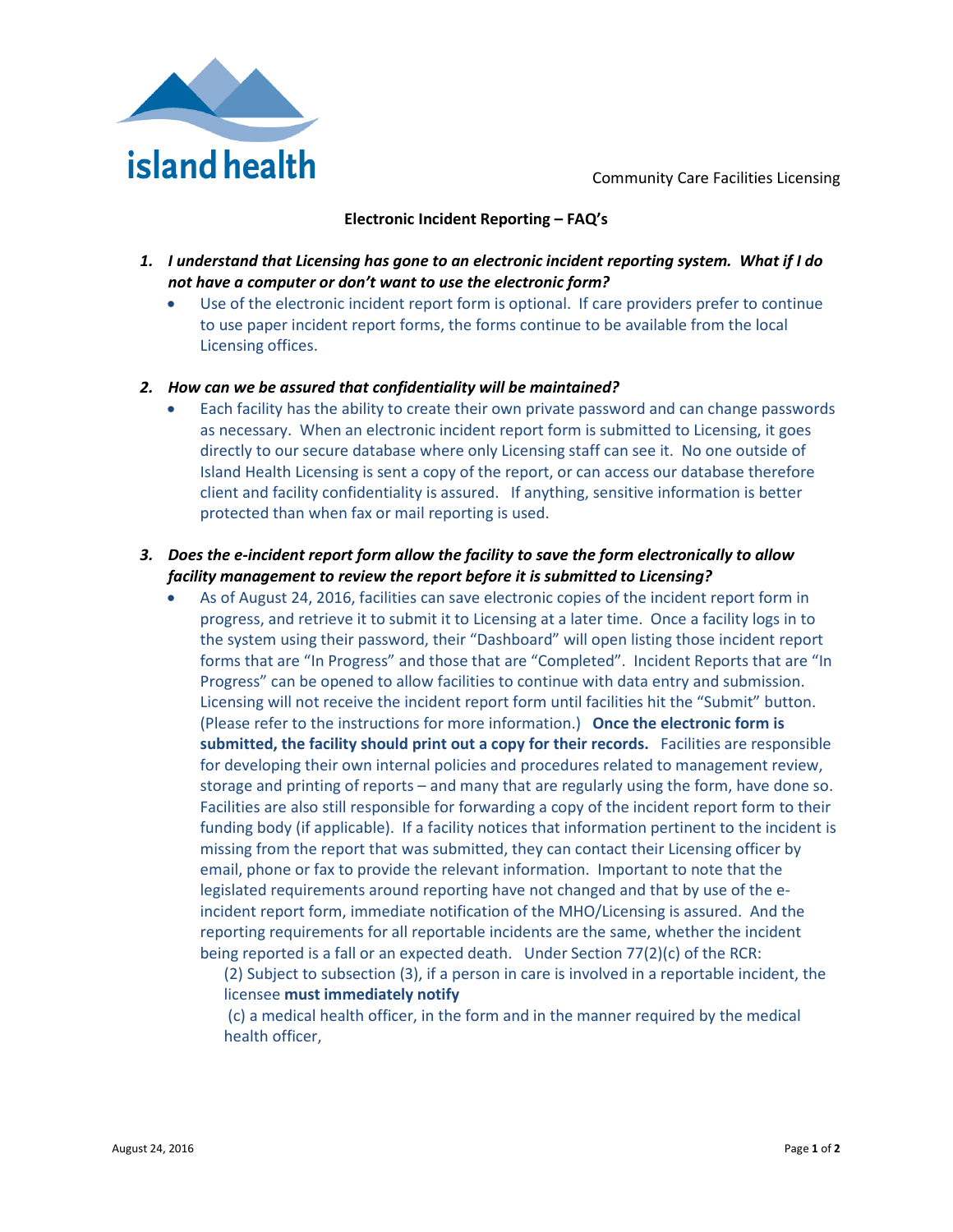

Community Care Facilities Licensing

## **Electronic Incident Reporting – FAQ's**

- *1. I understand that Licensing has gone to an electronic incident reporting system. What if I do not have a computer or don't want to use the electronic form?*
	- Use of the electronic incident report form is optional. If care providers prefer to continue to use paper incident report forms, the forms continue to be available from the local Licensing offices.

## *2. How can we be assured that confidentiality will be maintained?*

• Each facility has the ability to create their own private password and can change passwords as necessary. When an electronic incident report form is submitted to Licensing, it goes directly to our secure database where only Licensing staff can see it. No one outside of Island Health Licensing is sent a copy of the report, or can access our database therefore client and facility confidentiality is assured. If anything, sensitive information is better protected than when fax or mail reporting is used.

## *3. Does the e-incident report form allow the facility to save the form electronically to allow facility management to review the report before it is submitted to Licensing?*

• As of August 24, 2016, facilities can save electronic copies of the incident report form in progress, and retrieve it to submit it to Licensing at a later time. Once a facility logs in to the system using their password, their "Dashboard" will open listing those incident report forms that are "In Progress" and those that are "Completed". Incident Reports that are "In Progress" can be opened to allow facilities to continue with data entry and submission. Licensing will not receive the incident report form until facilities hit the "Submit" button. (Please refer to the instructions for more information.) **Once the electronic form is submitted, the facility should print out a copy for their records.** Facilities are responsible for developing their own internal policies and procedures related to management review, storage and printing of reports – and many that are regularly using the form, have done so. Facilities are also still responsible for forwarding a copy of the incident report form to their funding body (if applicable). If a facility notices that information pertinent to the incident is missing from the report that was submitted, they can contact their Licensing officer by email, phone or fax to provide the relevant information. Important to note that the legislated requirements around reporting have not changed and that by use of the eincident report form, immediate notification of the MHO/Licensing is assured. And the reporting requirements for all reportable incidents are the same, whether the incident being reported is a fall or an expected death. Under Section 77(2)(c) of the RCR:

(2) Subject to subsection (3), if a person in care is involved in a reportable incident, the licensee **must immediately notify**

(c) a medical health officer, in the form and in the manner required by the medical health officer,